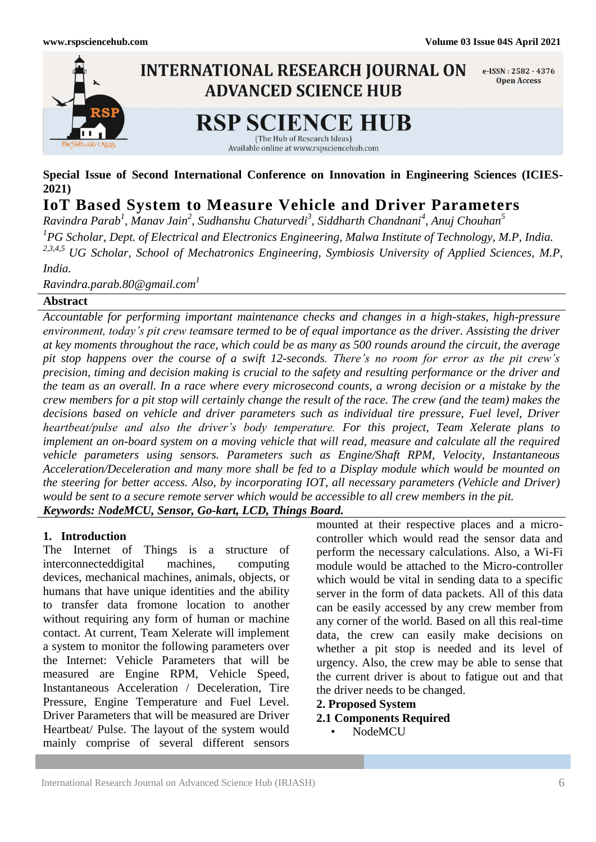

**Special Issue of Second International Conference on Innovation in Engineering Sciences (ICIES-2021)**

# **IoT Based System to Measure Vehicle and Driver Parameters**

*Ravindra Parab<sup>1</sup> , Manav Jain<sup>2</sup> , Sudhanshu Chaturvedi<sup>3</sup> , Siddharth Chandnani<sup>4</sup> , Anuj Chouhan<sup>5</sup> 1 PG Scholar, Dept. of Electrical and Electronics Engineering, Malwa Institute of Technology, M.P, India. 2,3,4,5 UG Scholar, School of Mechatronics Engineering, Symbiosis University of Applied Sciences, M.P, India.*

*Ravindra.parab.80@gmail.com<sup>1</sup>*

## **Abstract**

*Accountable for performing important maintenance checks and changes in a high-stakes, high-pressure environment, today's pit crew teamsare termed to be of equal importance as the driver. Assisting the driver at key moments throughout the race, which could be as many as 500 rounds around the circuit, the average pit stop happens over the course of a swift 12-seconds. There's no room for error as the pit crew's precision, timing and decision making is crucial to the safety and resulting performance or the driver and the team as an overall. In a race where every microsecond counts, a wrong decision or a mistake by the crew members for a pit stop will certainly change the result of the race. The crew (and the team) makes the decisions based on vehicle and driver parameters such as individual tire pressure, Fuel level, Driver heartbeat/pulse and also the driver's body temperature. For this project, Team Xelerate plans to implement an on-board system on a moving vehicle that will read, measure and calculate all the required vehicle parameters using sensors. Parameters such as Engine/Shaft RPM, Velocity, Instantaneous Acceleration/Deceleration and many more shall be fed to a Display module which would be mounted on the steering for better access. Also, by incorporating IOT, all necessary parameters (Vehicle and Driver) would be sent to a secure remote server which would be accessible to all crew members in the pit. Keywords: NodeMCU, Sensor, Go-kart, LCD, Things Board.*

## **1. Introduction**

The Internet of Things is a structure of interconnecteddigital machines, computing devices, mechanical machines, animals, objects, or humans that have unique identities and the ability to transfer data fromone location to another without requiring any form of human or machine contact. At current, Team Xelerate will implement a system to monitor the following parameters over the Internet: Vehicle Parameters that will be measured are Engine RPM, Vehicle Speed, Instantaneous Acceleration / Deceleration, Tire Pressure, Engine Temperature and Fuel Level. Driver Parameters that will be measured are Driver Heartbeat/ Pulse. The layout of the system would mainly comprise of several different sensors

mounted at their respective places and a microcontroller which would read the sensor data and perform the necessary calculations. Also, a Wi-Fi module would be attached to the Micro-controller which would be vital in sending data to a specific server in the form of data packets. All of this data can be easily accessed by any crew member from any corner of the world. Based on all this real-time data, the crew can easily make decisions on whether a pit stop is needed and its level of urgency. Also, the crew may be able to sense that the current driver is about to fatigue out and that the driver needs to be changed.

- **2. Proposed System**
- **2.1 Components Required**
	- NodeMCU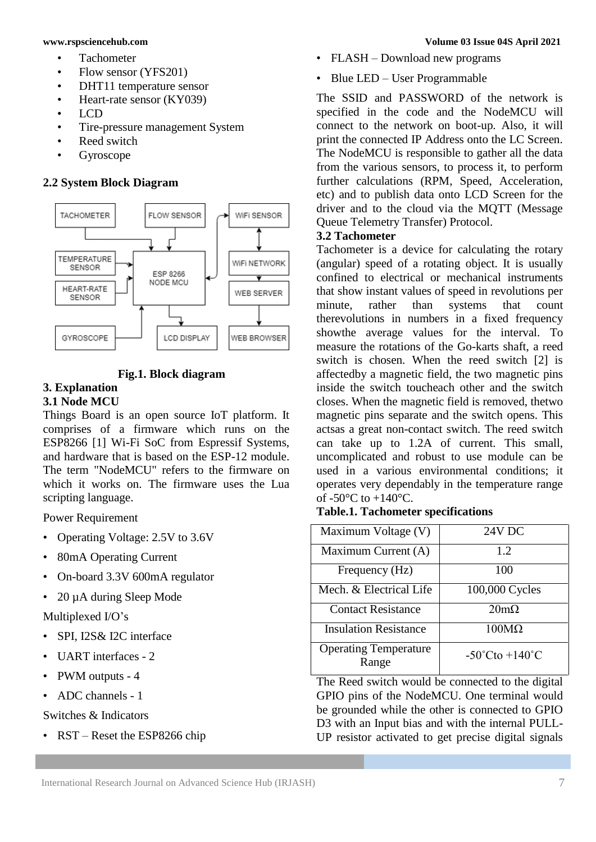- Tachometer
- Flow sensor (YFS201)
- DHT11 temperature sensor
- Heart-rate sensor (KY039)
- LCD
- Tire-pressure management System
- Reed switch
- **Gyroscope**

## **2.2 System Block Diagram**



## **Fig.1. Block diagram**

#### **3. Explanation 3.1 Node MCU**

Things Board is an open source IoT platform. It comprises of a firmware which runs on the ESP8266 [1] Wi-Fi SoC from Espressif Systems, and hardware that is based on the ESP-12 module. The term "NodeMCU" refers to the firmware on which it works on. The firmware uses the Lua scripting language.

Power Requirement

- Operating Voltage: 2.5V to 3.6V
- 80mA Operating Current
- On-board 3.3V 600mA regulator
- 20 µA during Sleep Mode

Multiplexed I/O's

- SPI, I2S& I2C interface
- UART interfaces 2
- PWM outputs 4
- ADC channels 1

Switches & Indicators

• RST – Reset the ESP8266 chip

- FLASH Download new programs
- Blue LED User Programmable

The SSID and PASSWORD of the network is specified in the code and the NodeMCU will connect to the network on boot-up. Also, it will print the connected IP Address onto the LC Screen. The NodeMCU is responsible to gather all the data from the various sensors, to process it, to perform further calculations (RPM, Speed, Acceleration, etc) and to publish data onto LCD Screen for the driver and to the cloud via the MQTT (Message Queue Telemetry Transfer) Protocol.

## **3.2 Tachometer**

Tachometer is a device for calculating the rotary (angular) speed of a rotating object. It is usually confined to electrical or mechanical instruments that show instant values of speed in revolutions per minute, rather than systems that count therevolutions in numbers in a fixed frequency showthe average values for the interval. To measure the rotations of the Go-karts shaft, a reed switch is chosen. When the reed switch [2] is affectedby a magnetic field, the two magnetic pins inside the switch toucheach other and the switch closes. When the magnetic field is removed, thetwo magnetic pins separate and the switch opens. This actsas a great non-contact switch. The reed switch can take up to 1.2A of current. This small, uncomplicated and robust to use module can be used in a various environmental conditions; it operates very dependably in the temperature range of  $-50^{\circ}$ C to  $+140^{\circ}$ C.

| Maximum Voltage (V)                   | 24V DC                             |  |  |
|---------------------------------------|------------------------------------|--|--|
| Maximum Current (A)                   | 1.2                                |  |  |
| Frequency (Hz)                        | 100                                |  |  |
| Mech. & Electrical Life               | 100,000 Cycles                     |  |  |
| <b>Contact Resistance</b>             | $20m\Omega$                        |  |  |
| <b>Insulation Resistance</b>          | $100M\Omega$                       |  |  |
| <b>Operating Temperature</b><br>Range | $-50^{\circ}$ Cto $+140^{\circ}$ C |  |  |

## **Table.1. Tachometer specifications**

The Reed switch would be connected to the digital GPIO pins of the NodeMCU. One terminal would be grounded while the other is connected to GPIO D3 with an Input bias and with the internal PULL-UP resistor activated to get precise digital signals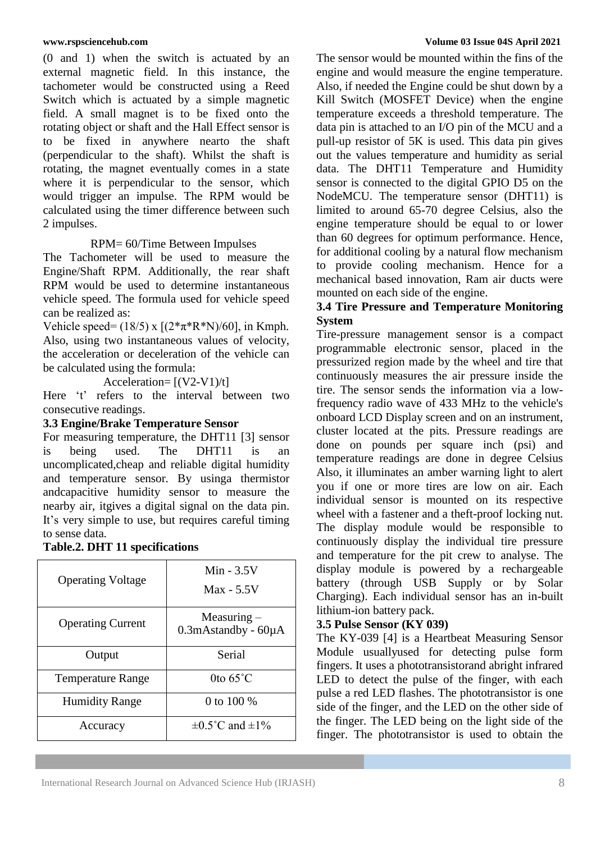(0 and 1) when the switch is actuated by an external magnetic field. In this instance, the tachometer would be constructed using a Reed Switch which is actuated by a simple magnetic field. A small magnet is to be fixed onto the rotating object or shaft and the Hall Effect sensor is to be fixed in anywhere nearto the shaft (perpendicular to the shaft). Whilst the shaft is rotating, the magnet eventually comes in a state where it is perpendicular to the sensor, which would trigger an impulse. The RPM would be calculated using the timer difference between such 2 impulses.

## RPM= 60/Time Between Impulses

The Tachometer will be used to measure the Engine/Shaft RPM. Additionally, the rear shaft RPM would be used to determine instantaneous vehicle speed. The formula used for vehicle speed can be realized as:

Vehicle speed=  $(18/5)$  x  $[(2*\pi*\mathbb{R}^*N)/60]$ , in Kmph. Also, using two instantaneous values of velocity, the acceleration or deceleration of the vehicle can be calculated using the formula:

Acceleration=  $[(V2-V1)/t]$ 

Here 't' refers to the interval between two consecutive readings.

## **3.3 Engine/Brake Temperature Sensor**

For measuring temperature, the DHT11 [3] sensor is being used. The DHT11 is an uncomplicated,cheap and reliable digital humidity and temperature sensor. By usinga thermistor andcapacitive humidity sensor to measure the nearby air, itgives a digital signal on the data pin. It's very simple to use, but requires careful timing to sense data.

| <b>Operating Voltage</b> | Min $-3.5V$<br>$Max - 5.5V$                       |  |  |
|--------------------------|---------------------------------------------------|--|--|
| <b>Operating Current</b> | Measuring $-$<br>$0.3$ m $A$ standby - 60 $\mu$ A |  |  |
| Output                   | Serial                                            |  |  |
| <b>Temperature Range</b> | 0to $65^{\circ}$ C<br>0 to 100 %                  |  |  |
| <b>Humidity Range</b>    |                                                   |  |  |
| Accuracy                 | $\pm 0.5^{\circ}$ C and $\pm 1\%$                 |  |  |

### **www.rspsciencehub.com Volume 03 Issue 04S April 2021**

The sensor would be mounted within the fins of the engine and would measure the engine temperature. Also, if needed the Engine could be shut down by a Kill Switch (MOSFET Device) when the engine temperature exceeds a threshold temperature. The data pin is attached to an I/O pin of the MCU and a pull-up resistor of 5K is used. This data pin gives out the values temperature and humidity as serial data. The DHT11 Temperature and Humidity sensor is connected to the digital GPIO D5 on the NodeMCU. The temperature sensor (DHT11) is limited to around 65-70 degree Celsius, also the engine temperature should be equal to or lower than 60 degrees for optimum performance. Hence, for additional cooling by a natural flow mechanism to provide cooling mechanism. Hence for a mechanical based innovation, Ram air ducts were mounted on each side of the engine.

## **3.4 Tire Pressure and Temperature Monitoring System**

Tire-pressure management sensor is a compact programmable electronic sensor, placed in the pressurized region made by the wheel and tire that continuously measures the air pressure inside the tire. The sensor sends the information via a lowfrequency radio wave of 433 MHz to the vehicle's onboard LCD Display screen and on an instrument, cluster located at the pits. Pressure readings are done on pounds per square inch (psi) and temperature readings are done in degree Celsius Also, it illuminates an amber warning light to alert you if one or more tires are low on air. Each individual sensor is mounted on its respective wheel with a fastener and a theft-proof locking nut. The display module would be responsible to continuously display the individual tire pressure and temperature for the pit crew to analyse. The display module is powered by a rechargeable battery (through USB Supply or by Solar Charging). Each individual sensor has an in-built lithium-ion battery pack.

## **3.5 Pulse Sensor (KY 039)**

The KY-039 [4] is a Heartbeat Measuring Sensor Module usuallyused for detecting pulse form fingers. It uses a phototransistorand abright infrared LED to detect the pulse of the finger, with each pulse a red LED flashes. The phototransistor is one side of the finger, and the LED on the other side of the finger. The LED being on the light side of the finger. The phototransistor is used to obtain the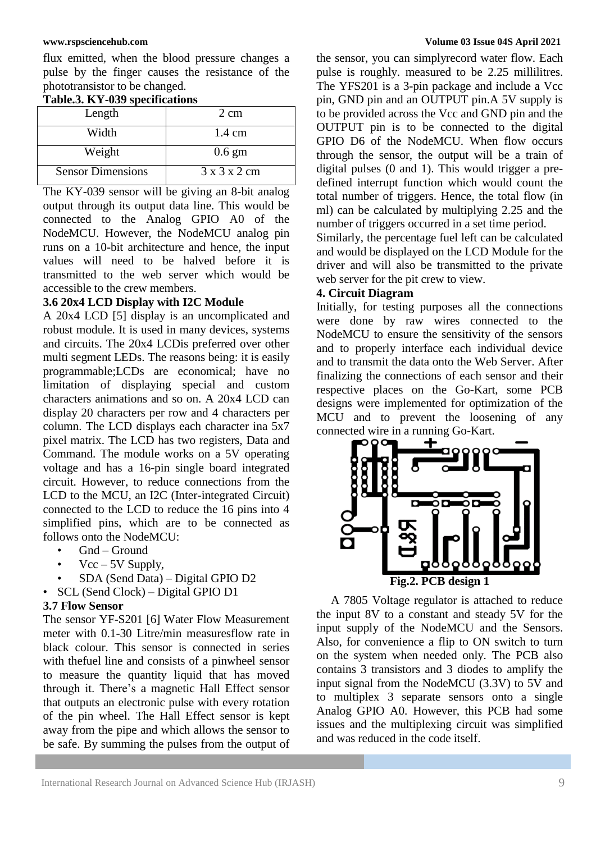flux emitted, when the blood pressure changes a pulse by the finger causes the resistance of the phototransistor to be changed.

| Tudicioi III 000 decentumente |                          |  |  |  |  |
|-------------------------------|--------------------------|--|--|--|--|
| Length                        | 2 cm                     |  |  |  |  |
| Width                         | $1.4 \text{ cm}$         |  |  |  |  |
| Weight                        | $0.6 \text{ gm}$         |  |  |  |  |
| <b>Sensor Dimensions</b>      | $3 \times 3 \times 2$ cm |  |  |  |  |

### **Table.3. KY-039 specifications**

The KY-039 sensor will be giving an 8-bit analog output through its output data line. This would be connected to the Analog GPIO A0 of the NodeMCU. However, the NodeMCU analog pin runs on a 10-bit architecture and hence, the input values will need to be halved before it is transmitted to the web server which would be accessible to the crew members.

### **3.6 20x4 LCD Display with I2C Module**

A 20x4 LCD [5] display is an uncomplicated and robust module. It is used in many devices, systems and circuits. The 20x4 LCDis preferred over other multi segment LEDs. The reasons being: it is easily programmable;LCDs are economical; have no limitation of displaying special and custom characters animations and so on. A 20x4 LCD can display 20 characters per row and 4 characters per column. The LCD displays each character ina 5x7 pixel matrix. The LCD has two registers, Data and Command. The module works on a 5V operating voltage and has a 16-pin single board integrated circuit. However, to reduce connections from the LCD to the MCU, an I2C (Inter-integrated Circuit) connected to the LCD to reduce the 16 pins into 4 simplified pins, which are to be connected as follows onto the NodeMCU:

- Gnd Ground
- $Vec-5V$  Supply,
- SDA (Send Data) Digital GPIO D2
- SCL (Send Clock) Digital GPIO D1

### **3.7 Flow Sensor**

The sensor YF-S201 [6] Water Flow Measurement meter with 0.1-30 Litre/min measuresflow rate in black colour. This sensor is connected in series with thefuel line and consists of a pinwheel sensor to measure the quantity liquid that has moved through it. There's a magnetic Hall Effect sensor that outputs an electronic pulse with every rotation of the pin wheel. The Hall Effect sensor is kept away from the pipe and which allows the sensor to be safe. By summing the pulses from the output of

#### **www.rspsciencehub.com Volume 03 Issue 04S April 2021**

the sensor, you can simplyrecord water flow. Each pulse is roughly. measured to be 2.25 millilitres. The YFS201 is a 3-pin package and include a Vcc pin, GND pin and an OUTPUT pin.A 5V supply is to be provided across the Vcc and GND pin and the OUTPUT pin is to be connected to the digital GPIO D6 of the NodeMCU. When flow occurs through the sensor, the output will be a train of digital pulses (0 and 1). This would trigger a predefined interrupt function which would count the total number of triggers. Hence, the total flow (in ml) can be calculated by multiplying 2.25 and the number of triggers occurred in a set time period.

Similarly, the percentage fuel left can be calculated and would be displayed on the LCD Module for the driver and will also be transmitted to the private web server for the pit crew to view.

## **4. Circuit Diagram**

Initially, for testing purposes all the connections were done by raw wires connected to the NodeMCU to ensure the sensitivity of the sensors and to properly interface each individual device and to transmit the data onto the Web Server. After finalizing the connections of each sensor and their respective places on the Go-Kart, some PCB designs were implemented for optimization of the MCU and to prevent the loosening of any connected wire in a running Go-Kart.



A 7805 Voltage regulator is attached to reduce the input 8V to a constant and steady 5V for the input supply of the NodeMCU and the Sensors. Also, for convenience a flip to ON switch to turn on the system when needed only. The PCB also contains 3 transistors and 3 diodes to amplify the input signal from the NodeMCU (3.3V) to 5V and to multiplex 3 separate sensors onto a single Analog GPIO A0. However, this PCB had some issues and the multiplexing circuit was simplified and was reduced in the code itself.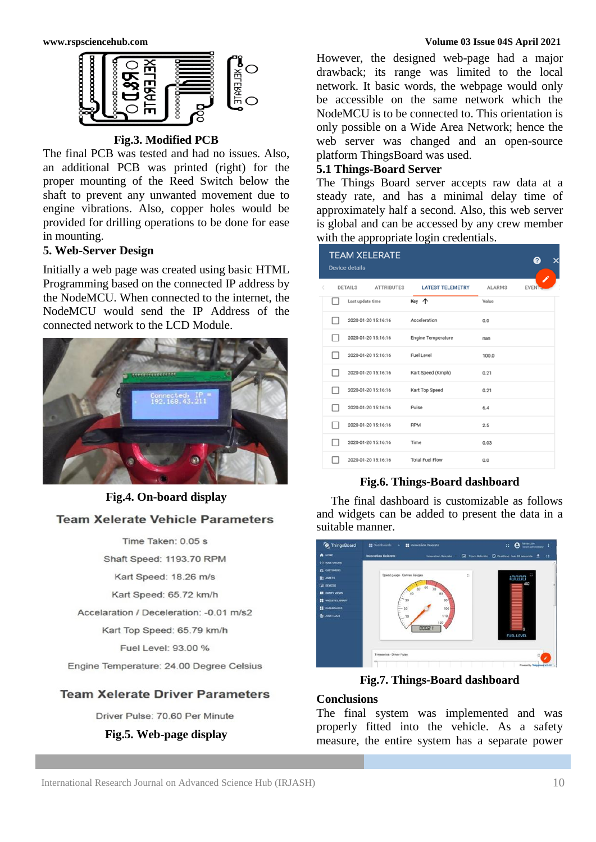

## **Fig.3. Modified PCB**

The final PCB was tested and had no issues. Also, an additional PCB was printed (right) for the proper mounting of the Reed Switch below the shaft to prevent any unwanted movement due to engine vibrations. Also, copper holes would be provided for drilling operations to be done for ease in mounting.

## **5. Web-Server Design**

Initially a web page was created using basic HTML Programming based on the connected IP address by the NodeMCU. When connected to the internet, the NodeMCU would send the IP Address of the connected network to the LCD Module.



## **Fig.4. On-board display**

## **Team Xelerate Vehicle Parameters**

Time Taken: 0.05 s Shaft Speed: 1193.70 RPM Kart Speed: 18.26 m/s Kart Speed: 65.72 km/h Accelaration / Deceleration: - 0.01 m/s2

Kart Top Speed: 65.79 km/h

Fuel Level: 93.00 %

Engine Temperature: 24.00 Degree Celsius

## **Team Xelerate Driver Parameters**

Driver Pulse: 70.60 Per Minute

## **Fig.5. Web-page display**

#### **www.rspsciencehub.com Volume 03 Issue 04S April 2021**

However, the designed web-page had a major drawback; its range was limited to the local network. It basic words, the webpage would only be accessible on the same network which the NodeMCU is to be connected to. This orientation is only possible on a Wide Area Network; hence the web server was changed and an open-source platform ThingsBoard was used.

## **5.1 Things-Board Server**

The Things Board server accepts raw data at a steady rate, and has a minimal delay time of approximately half a second. Also, this web server is global and can be accessed by any crew member with the appropriate login credentials.

| <b>DETAILS</b><br><b>ATTRIBUTES</b><br><b>LATEST TELEMETRY</b><br><b>ALARMS</b><br><b>EVEN</b><br>Key 个<br>Last update time<br>Value<br>Acceleration<br>2020-01-20 15:16:16<br>0.0<br>2020-01-20 15:16:16<br>Engine Temperature<br>nan<br><b>Fuel Level</b><br>2020-01-20 15:16:16<br>100.0<br>2020-01-20 15:16:16<br>Kart Speed (Kmph)<br>0.21<br>2020-01-20 15:16:16<br>Kart Top Speed<br>0.21<br>2020-01-20 15:16:16<br>Pulse<br>6.4<br>2020-01-20 15:16:16<br><b>RPM</b><br>2.5 |  | <b>Device details</b> | <b>TEAM XELERATE</b> |  | × |
|-------------------------------------------------------------------------------------------------------------------------------------------------------------------------------------------------------------------------------------------------------------------------------------------------------------------------------------------------------------------------------------------------------------------------------------------------------------------------------------|--|-----------------------|----------------------|--|---|
|                                                                                                                                                                                                                                                                                                                                                                                                                                                                                     |  |                       |                      |  |   |
|                                                                                                                                                                                                                                                                                                                                                                                                                                                                                     |  |                       |                      |  |   |
|                                                                                                                                                                                                                                                                                                                                                                                                                                                                                     |  |                       |                      |  |   |
|                                                                                                                                                                                                                                                                                                                                                                                                                                                                                     |  |                       |                      |  |   |
|                                                                                                                                                                                                                                                                                                                                                                                                                                                                                     |  |                       |                      |  |   |
|                                                                                                                                                                                                                                                                                                                                                                                                                                                                                     |  |                       |                      |  |   |
|                                                                                                                                                                                                                                                                                                                                                                                                                                                                                     |  |                       |                      |  |   |
|                                                                                                                                                                                                                                                                                                                                                                                                                                                                                     |  |                       |                      |  |   |
|                                                                                                                                                                                                                                                                                                                                                                                                                                                                                     |  |                       |                      |  |   |
| 2020-01-20 15:16:16<br>Time<br>0.03                                                                                                                                                                                                                                                                                                                                                                                                                                                 |  |                       |                      |  |   |
| <b>Total Fuel Flow</b><br>2020-01-20 15:16:16<br>0.0                                                                                                                                                                                                                                                                                                                                                                                                                                |  |                       |                      |  |   |

## **Fig.6. Things-Board dashboard**

The final dashboard is customizable as follows and widgets can be added to present the data in a suitable manner.



**Fig.7. Things-Board dashboard**

## **Conclusions**

The final system was implemented and was properly fitted into the vehicle. As a safety measure, the entire system has a separate power